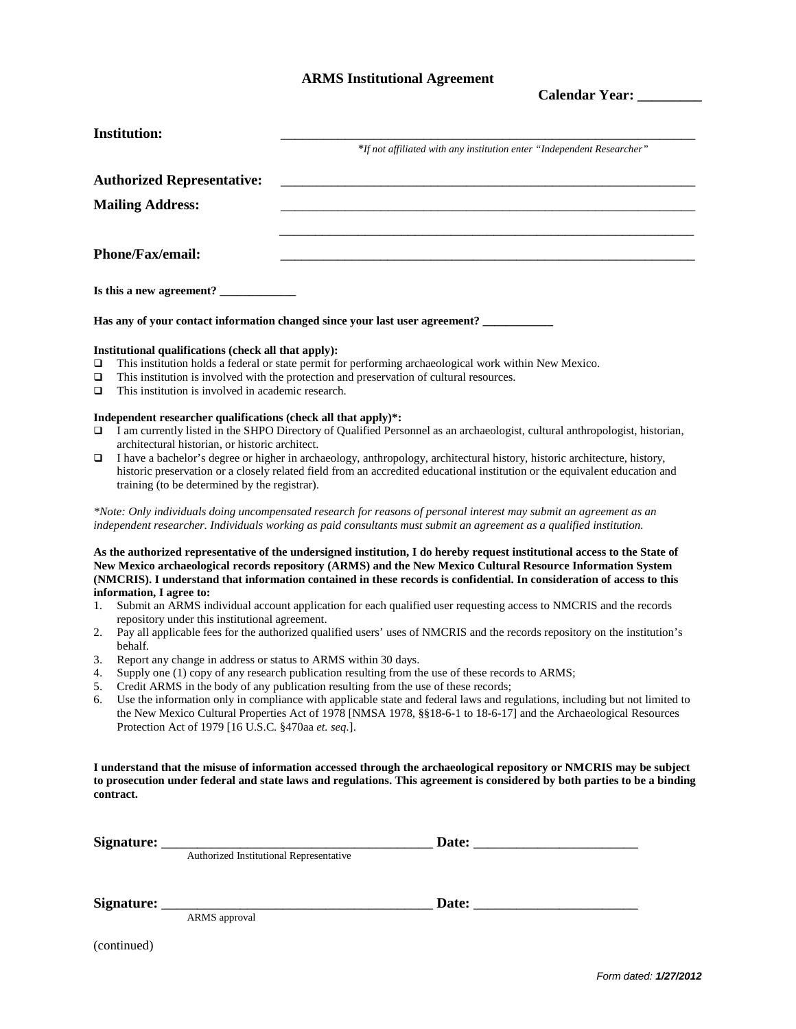## **ARMS Institutional Agreement**

**Calendar Year: \_\_\_\_\_\_\_\_\_**

|                                                                                                                                                                                                                                                                                                                                                                                                                                                                                                                                                                                                                                                                                                                                                                                                                                                                                                                                                                                                                                                                                                                                                                | <b>Institution:</b>                                                                                                                                                                                            | *If not affiliated with any institution enter "Independent Researcher"                                                                                                                                                                                                                                                                                                                                                                                                                                                                                                                                                                                                                                                                                                                                                                                                                                                                                                                                                                                              |  |  |  |  |
|----------------------------------------------------------------------------------------------------------------------------------------------------------------------------------------------------------------------------------------------------------------------------------------------------------------------------------------------------------------------------------------------------------------------------------------------------------------------------------------------------------------------------------------------------------------------------------------------------------------------------------------------------------------------------------------------------------------------------------------------------------------------------------------------------------------------------------------------------------------------------------------------------------------------------------------------------------------------------------------------------------------------------------------------------------------------------------------------------------------------------------------------------------------|----------------------------------------------------------------------------------------------------------------------------------------------------------------------------------------------------------------|---------------------------------------------------------------------------------------------------------------------------------------------------------------------------------------------------------------------------------------------------------------------------------------------------------------------------------------------------------------------------------------------------------------------------------------------------------------------------------------------------------------------------------------------------------------------------------------------------------------------------------------------------------------------------------------------------------------------------------------------------------------------------------------------------------------------------------------------------------------------------------------------------------------------------------------------------------------------------------------------------------------------------------------------------------------------|--|--|--|--|
|                                                                                                                                                                                                                                                                                                                                                                                                                                                                                                                                                                                                                                                                                                                                                                                                                                                                                                                                                                                                                                                                                                                                                                | <b>Authorized Representative:</b>                                                                                                                                                                              |                                                                                                                                                                                                                                                                                                                                                                                                                                                                                                                                                                                                                                                                                                                                                                                                                                                                                                                                                                                                                                                                     |  |  |  |  |
| <b>Mailing Address:</b>                                                                                                                                                                                                                                                                                                                                                                                                                                                                                                                                                                                                                                                                                                                                                                                                                                                                                                                                                                                                                                                                                                                                        |                                                                                                                                                                                                                |                                                                                                                                                                                                                                                                                                                                                                                                                                                                                                                                                                                                                                                                                                                                                                                                                                                                                                                                                                                                                                                                     |  |  |  |  |
|                                                                                                                                                                                                                                                                                                                                                                                                                                                                                                                                                                                                                                                                                                                                                                                                                                                                                                                                                                                                                                                                                                                                                                |                                                                                                                                                                                                                |                                                                                                                                                                                                                                                                                                                                                                                                                                                                                                                                                                                                                                                                                                                                                                                                                                                                                                                                                                                                                                                                     |  |  |  |  |
| <b>Phone/Fax/email:</b>                                                                                                                                                                                                                                                                                                                                                                                                                                                                                                                                                                                                                                                                                                                                                                                                                                                                                                                                                                                                                                                                                                                                        |                                                                                                                                                                                                                |                                                                                                                                                                                                                                                                                                                                                                                                                                                                                                                                                                                                                                                                                                                                                                                                                                                                                                                                                                                                                                                                     |  |  |  |  |
|                                                                                                                                                                                                                                                                                                                                                                                                                                                                                                                                                                                                                                                                                                                                                                                                                                                                                                                                                                                                                                                                                                                                                                |                                                                                                                                                                                                                |                                                                                                                                                                                                                                                                                                                                                                                                                                                                                                                                                                                                                                                                                                                                                                                                                                                                                                                                                                                                                                                                     |  |  |  |  |
| Has any of your contact information changed since your last user agreement? ________                                                                                                                                                                                                                                                                                                                                                                                                                                                                                                                                                                                                                                                                                                                                                                                                                                                                                                                                                                                                                                                                           |                                                                                                                                                                                                                |                                                                                                                                                                                                                                                                                                                                                                                                                                                                                                                                                                                                                                                                                                                                                                                                                                                                                                                                                                                                                                                                     |  |  |  |  |
| Institutional qualifications (check all that apply):<br>This institution holds a federal or state permit for performing archaeological work within New Mexico.<br>❏<br>This institution is involved with the protection and preservation of cultural resources.<br>□<br>This institution is involved in academic research.<br>$\Box$<br>Independent researcher qualifications (check all that apply)*:<br>I am currently listed in the SHPO Directory of Qualified Personnel as an archaeologist, cultural anthropologist, historian,<br>□<br>architectural historian, or historic architect.<br>I have a bachelor's degree or higher in archaeology, anthropology, architectural history, historic architecture, history,<br>□<br>historic preservation or a closely related field from an accredited educational institution or the equivalent education and<br>training (to be determined by the registrar).<br>*Note: Only individuals doing uncompensated research for reasons of personal interest may submit an agreement as an<br>independent researcher. Individuals working as paid consultants must submit an agreement as a qualified institution. |                                                                                                                                                                                                                |                                                                                                                                                                                                                                                                                                                                                                                                                                                                                                                                                                                                                                                                                                                                                                                                                                                                                                                                                                                                                                                                     |  |  |  |  |
| 1.<br>2.<br>3.<br>4.<br>5.<br>6.                                                                                                                                                                                                                                                                                                                                                                                                                                                                                                                                                                                                                                                                                                                                                                                                                                                                                                                                                                                                                                                                                                                               | information, I agree to:<br>repository under this institutional agreement.<br>behalf.<br>Report any change in address or status to ARMS within 30 days.<br>Protection Act of 1979 [16 U.S.C. §470aa et. seq.]. | As the authorized representative of the undersigned institution, I do hereby request institutional access to the State of<br>New Mexico archaeological records repository (ARMS) and the New Mexico Cultural Resource Information System<br>(NMCRIS). I understand that information contained in these records is confidential. In consideration of access to this<br>Submit an ARMS individual account application for each qualified user requesting access to NMCRIS and the records<br>Pay all applicable fees for the authorized qualified users' uses of NMCRIS and the records repository on the institution's<br>Supply one (1) copy of any research publication resulting from the use of these records to ARMS;<br>Credit ARMS in the body of any publication resulting from the use of these records;<br>Use the information only in compliance with applicable state and federal laws and regulations, including but not limited to<br>the New Mexico Cultural Properties Act of 1978 [NMSA 1978, §§18-6-1 to 18-6-17] and the Archaeological Resources |  |  |  |  |

**I understand that the misuse of information accessed through the archaeological repository or NMCRIS may be subject to prosecution under federal and state laws and regulations. This agreement is considered by both parties to be a binding contract.**

| Signature:  |                                         | Date: |  |
|-------------|-----------------------------------------|-------|--|
|             | Authorized Institutional Representative |       |  |
|             |                                         |       |  |
| Signature:  |                                         | Date: |  |
|             | ARMS approval                           |       |  |
| (continued) |                                         |       |  |